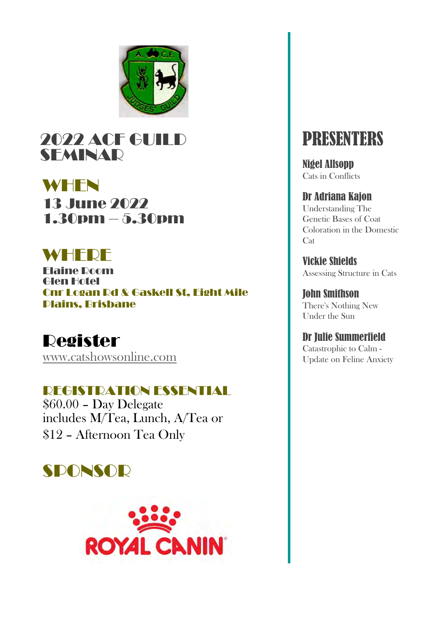

### 2022 ACF GUILD SEMINAR

WHEN 13 June 2022 1.30pm – 5.30pm

## WHFDF

Elaine Room Glen Hotel Cnr Logan Rd & Gaskell St, Eight Mile Plains, Brisbane

#### Register [www.catshowsonline.com](http://www.catshowsonline.com/)

#### REGISTRATION ESSENTIAL

\$60.00 – Day Delegate includes M/Tea, Lunch, A/Tea or \$12 – Afternoon Tea Only





# PRESENTERS

Nigel Allsopp Cats in Conflicts

#### Dr Adriana Kajon

Understanding The Genetic Bases of Coat Coloration in the Domestic **Cat** 

Vickie Shields Assessing Structure in Cats

John Smithson There's Nothing New Under the Sun

Dr Julie Summerfield Catastrophic to Calm - Update on Feline Anxiety